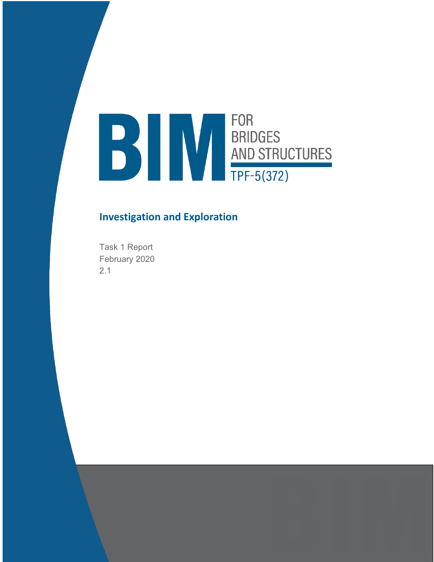# **FOR** FOR<br>BRIDGES<br>AND STRUCTURES<br>TPF-5(372)

# **Investigation and Exploration**

Task 1 Report February 2020 2.1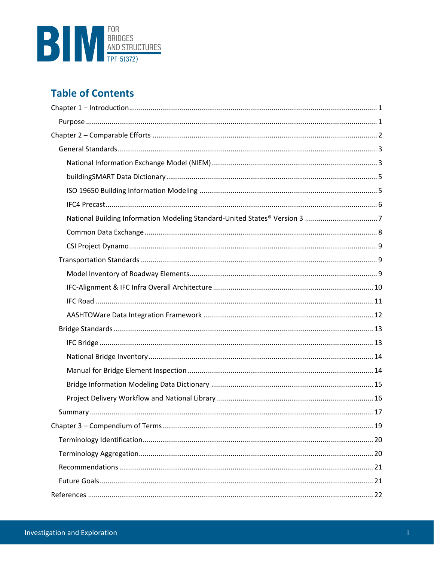

# **Table of Contents**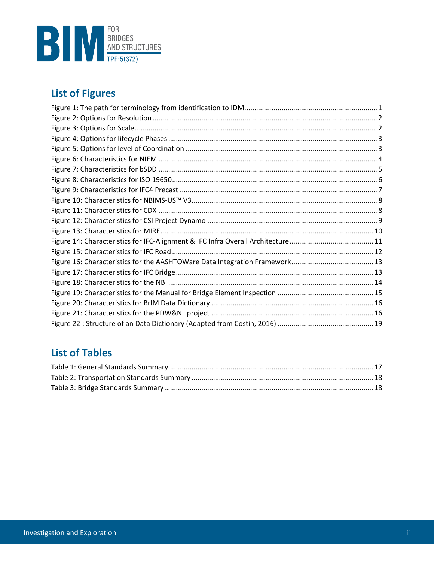

# **List of Figures**

# **List of Tables**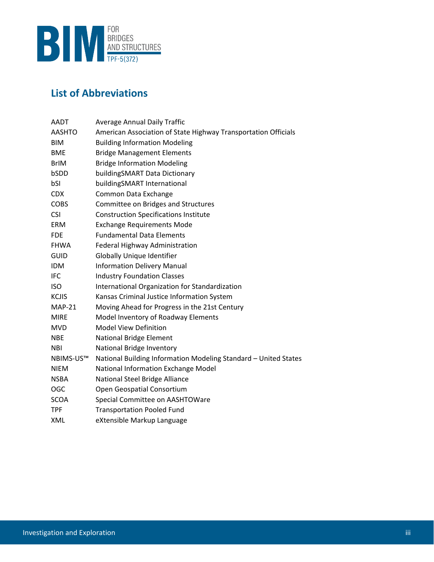

# **List of Abbreviations**

| <b>AADT</b>   | <b>Average Annual Daily Traffic</b>                             |
|---------------|-----------------------------------------------------------------|
| <b>AASHTO</b> | American Association of State Highway Transportation Officials  |
| <b>BIM</b>    | <b>Building Information Modeling</b>                            |
| <b>BME</b>    | <b>Bridge Management Elements</b>                               |
| <b>BrIM</b>   | <b>Bridge Information Modeling</b>                              |
| bSDD          | buildingSMART Data Dictionary                                   |
| bSI           | buildingSMART International                                     |
| <b>CDX</b>    | Common Data Exchange                                            |
| <b>COBS</b>   | Committee on Bridges and Structures                             |
| <b>CSI</b>    | <b>Construction Specifications Institute</b>                    |
| <b>ERM</b>    | <b>Exchange Requirements Mode</b>                               |
| <b>FDE</b>    | <b>Fundamental Data Elements</b>                                |
| <b>FHWA</b>   | Federal Highway Administration                                  |
| <b>GUID</b>   | Globally Unique Identifier                                      |
| <b>IDM</b>    | <b>Information Delivery Manual</b>                              |
| <b>IFC</b>    | <b>Industry Foundation Classes</b>                              |
| <b>ISO</b>    | International Organization for Standardization                  |
| <b>KCJIS</b>  | Kansas Criminal Justice Information System                      |
| $MAP-21$      | Moving Ahead for Progress in the 21st Century                   |
| <b>MIRE</b>   | Model Inventory of Roadway Elements                             |
| <b>MVD</b>    | <b>Model View Definition</b>                                    |
| <b>NBE</b>    | <b>National Bridge Element</b>                                  |
| <b>NBI</b>    | National Bridge Inventory                                       |
| NBIMS-US™     | National Building Information Modeling Standard - United States |
| <b>NIEM</b>   | National Information Exchange Model                             |
| <b>NSBA</b>   | National Steel Bridge Alliance                                  |
| <b>OGC</b>    | Open Geospatial Consortium                                      |
| <b>SCOA</b>   | Special Committee on AASHTOWare                                 |
| <b>TPF</b>    | <b>Transportation Pooled Fund</b>                               |
| XML           | eXtensible Markup Language                                      |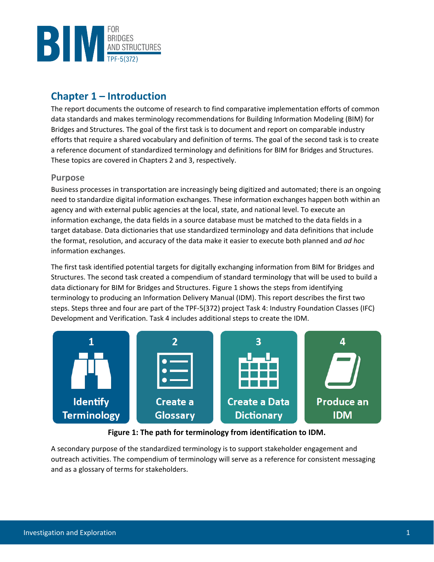

# <span id="page-4-0"></span>**Chapter 1 – Introduction**

The report documents the outcome of research to find comparative implementation efforts of common data standards and makes terminology recommendations for Building Information Modeling (BIM) for Bridges and Structures. The goal of the first task is to document and report on comparable industry efforts that require a shared vocabulary and definition of terms. The goal of the second task is to create a reference document of standardized terminology and definitions for BIM for Bridges and Structures. These topics are covered in Chapters 2 and 3, respectively.

# <span id="page-4-1"></span>**Purpose**

Business processes in transportation are increasingly being digitized and automated; there is an ongoing need to standardize digital information exchanges. These information exchanges happen both within an agency and with external public agencies at the local, state, and national level. To execute an information exchange, the data fields in a source database must be matched to the data fields in a target database. Data dictionaries that use standardized terminology and data definitions that include the format, resolution, and accuracy of the data make it easier to execute both planned and *ad hoc* information exchanges.

The first task identified potential targets for digitally exchanging information from BIM for Bridges and Structures. The second task created a compendium of standard terminology that will be used to build a data dictionary for BIM for Bridges and Structures. [Figure 1](#page-4-2) shows the steps from identifying terminology to producing an Information Delivery Manual (IDM). This report describes the first two steps. Steps three and four are part of the TPF-5(372) project Task 4: Industry Foundation Classes (IFC) Development and Verification. Task 4 includes additional steps to create the IDM.



**Figure 1: The path for terminology from identification to IDM.**

<span id="page-4-2"></span>A secondary purpose of the standardized terminology is to support stakeholder engagement and outreach activities. The compendium of terminology will serve as a reference for consistent messaging and as a glossary of terms for stakeholders.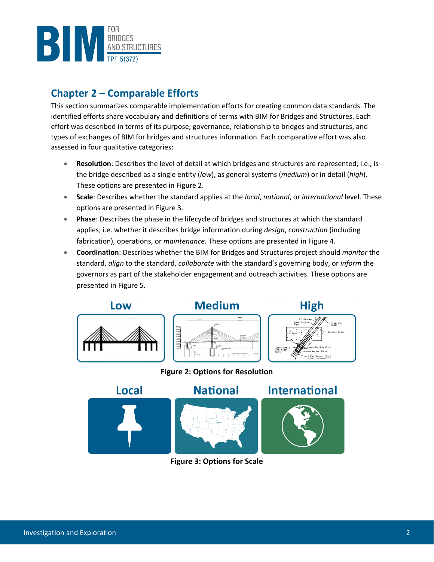

# <span id="page-5-0"></span>**Chapter 2 – Comparable Efforts**

This section summarizes comparable implementation efforts for creating common data standards. The identified efforts share vocabulary and definitions of terms with BIM for Bridges and Structures. Each effort was described in terms of its purpose, governance, relationship to bridges and structures, and types of exchanges of BIM for bridges and structures information. Each comparative effort was also assessed in four qualitative categories:

- **Resolution**: Describes the level of detail at which bridges and structures are represented; i.e., is the bridge described as a single entity (*low*), as general systems (*medium*) or in detail (*high*). These options are presented in [Figure 2.](#page-5-1)
- **Scale**: Describes whether the standard applies at the *local*, *national*, or *international* level. These options are presented in [Figure 3.](#page-5-2)
- **Phase**: Describes the phase in the lifecycle of bridges and structures at which the standard applies; i.e. whether it describes bridge information during *design*, *construction* (including fabrication), operations, or *maintenance*. These options are presented in [Figure 4.](#page-6-2)
- **Coordination**: Describes whether the BIM for Bridges and Structures project should *monitor* the standard, *align* to the standard, *collaborate* with the standard's governing body, or *inform* the governors as part of the stakeholder engagement and outreach activities. These options are presented in [Figure 5.](#page-6-3)



<span id="page-5-2"></span><span id="page-5-1"></span>

**Figure 3: Options for Scale**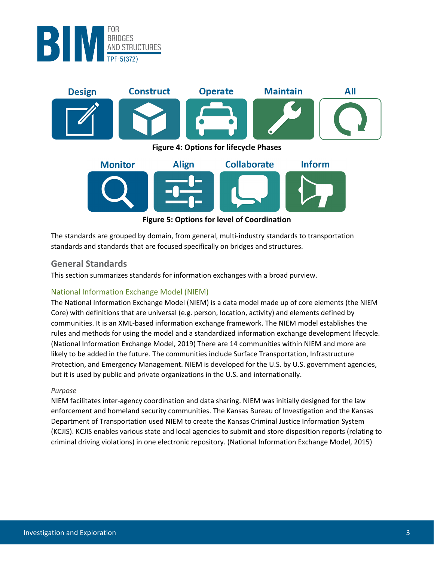

<span id="page-6-2"></span>

#### **Figure 5: Options for level of Coordination**

<span id="page-6-3"></span>The standards are grouped by domain, from general, multi-industry standards to transportation standards and standards that are focused specifically on bridges and structures.

# <span id="page-6-0"></span>**General Standards**

This section summarizes standards for information exchanges with a broad purview.

# <span id="page-6-1"></span>National Information Exchange Model (NIEM)

The National Information Exchange Model (NIEM) is a data model made up of core elements (the NIEM Core) with definitions that are universal (e.g. person, location, activity) and elements defined by communities. It is an XML-based information exchange framework. The NIEM model establishes the rules and methods for using the model and a standardized information exchange development lifecycle. (National Information Exchange Model, 2019) There are 14 communities within NIEM and more are likely to be added in the future. The communities include Surface Transportation, Infrastructure Protection, and Emergency Management. NIEM is developed for the U.S. by U.S. government agencies, but it is used by public and private organizations in the U.S. and internationally.

#### *Purpose*

NIEM facilitates inter-agency coordination and data sharing. NIEM was initially designed for the law enforcement and homeland security communities. The Kansas Bureau of Investigation and the Kansas Department of Transportation used NIEM to create the Kansas Criminal Justice Information System (KCJIS). KCJIS enables various state and local agencies to submit and store disposition reports (relating to criminal driving violations) in one electronic repository. (National Information Exchange Model, 2015)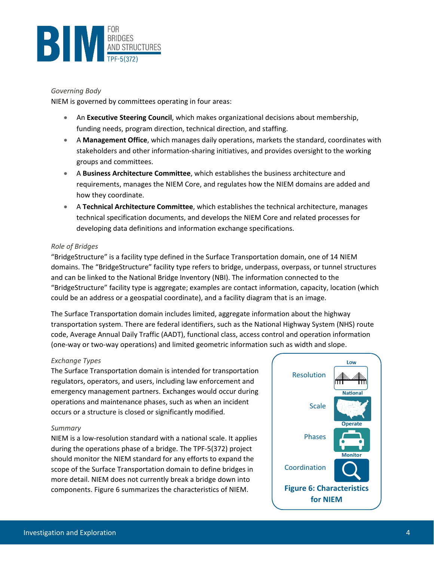

#### *Governing Body*

NIEM is governed by committees operating in four areas:

- An **Executive Steering Council**, which makes organizational decisions about membership, funding needs, program direction, technical direction, and staffing.
- A **Management Office**, which manages daily operations, markets the standard, coordinates with stakeholders and other information-sharing initiatives, and provides oversight to the working groups and committees.
- A **Business Architecture Committee**, which establishes the business architecture and requirements, manages the NIEM Core, and regulates how the NIEM domains are added and how they coordinate.
- A **Technical Architecture Committee**, which establishes the technical architecture, manages technical specification documents, and develops the NIEM Core and related processes for developing data definitions and information exchange specifications.

#### *Role of Bridges*

"BridgeStructure" is a facility type defined in the Surface Transportation domain, one of 14 NIEM domains. The "BridgeStructure" facility type refers to bridge, underpass, overpass, or tunnel structures and can be linked to the National Bridge Inventory (NBI). The information connected to the "BridgeStructure" facility type is aggregate; examples are contact information, capacity, location (which could be an address or a geospatial coordinate), and a facility diagram that is an image.

The Surface Transportation domain includes limited, aggregate information about the highway transportation system. There are federal identifiers, such as the National Highway System (NHS) route code, Average Annual Daily Traffic (AADT), functional class, access control and operation information (one-way or two-way operations) and limited geometric information such as width and slope.

#### *Exchange Types*

The Surface Transportation domain is intended for transportation regulators, operators, and users, including law enforcement and emergency management partners. Exchanges would occur during operations and maintenance phases, such as when an incident occurs or a structure is closed or significantly modified.

#### *Summary*

NIEM is a low-resolution standard with a national scale. It applies during the operations phase of a bridge. The TPF-5(372) project should monitor the NIEM standard for any efforts to expand the scope of the Surface Transportation domain to define bridges in more detail. NIEM does not currently break a bridge down into components. [Figure 6](#page-7-0) summarizes the characteristics of NIEM.

<span id="page-7-0"></span>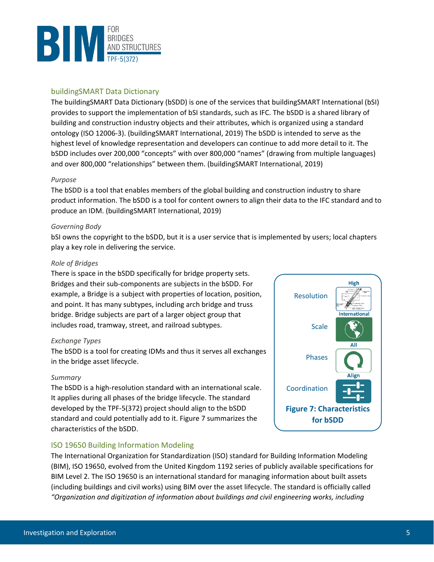

## <span id="page-8-0"></span>buildingSMART Data Dictionary

The buildingSMART Data Dictionary (bSDD) is one of the services that buildingSMART International (bSI) provides to support the implementation of bSI standards, such as IFC. The bSDD is a shared library of building and construction industry objects and their attributes, which is organized using a standard ontology (ISO 12006-3). (buildingSMART International, 2019) The bSDD is intended to serve as the highest level of knowledge representation and developers can continue to add more detail to it. The bSDD includes over 200,000 "concepts" with over 800,000 "names" (drawing from multiple languages) and over 800,000 "relationships" between them. (buildingSMART International, 2019)

#### *Purpose*

The bSDD is a tool that enables members of the global building and construction industry to share product information. The bSDD is a tool for content owners to align their data to the IFC standard and to produce an IDM. (buildingSMART International, 2019)

#### *Governing Body*

bSI owns the copyright to the bSDD, but it is a user service that is implemented by users; local chapters play a key role in delivering the service.

#### *Role of Bridges*

There is space in the bSDD specifically for bridge property sets. Bridges and their sub-components are subjects in the bSDD. For example, a Bridge is a subject with properties of location, position, and point. It has many subtypes, including arch bridge and truss bridge. Bridge subjects are part of a larger object group that includes road, tramway, street, and railroad subtypes.

#### *Exchange Types*

The bSDD is a tool for creating IDMs and thus it serves all exchanges in the bridge asset lifecycle.

#### *Summary*

The bSDD is a high-resolution standard with an international scale. It applies during all phases of the bridge lifecycle. The standard developed by the TPF-5(372) project should align to the bSDD standard and could potentially add to it. Figure 7 summarizes the characteristics of the bSDD.

#### <span id="page-8-1"></span>ISO 19650 Building Information Modeling

High Resolution **International Scale** All Phases **Align** Coordination **Figure 7: Characteristics for bSDD**

The International Organization for Standardization (ISO) standard for Building Information Modeling (BIM), ISO 19650, evolved from the United Kingdom 1192 series of publicly available specifications for BIM Level 2. The ISO 19650 is an international standard for managing information about built assets (including buildings and civil works) using BIM over the asset lifecycle. The standard is officially called *"Organization and digitization of information about buildings and civil engineering works, including*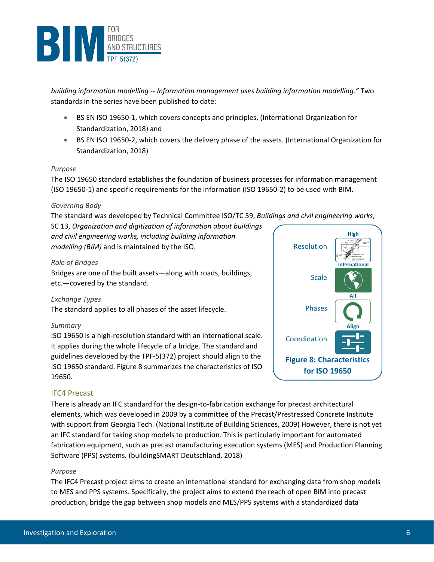

*building information modelling -- Information management uses building information modelling."* Two standards in the series have been published to date:

- BS EN ISO 19650-1, which covers concepts and principles, (International Organization for Standardization, 2018) and
- BS EN ISO 19650-2, which covers the delivery phase of the assets. (International Organization for Standardization, 2018)

#### *Purpose*

The ISO 19650 standard establishes the foundation of business processes for information management (ISO 19650-1) and specific requirements for the information (ISO 19650-2) to be used with BIM.

#### *Governing Body*

The standard was developed by Technical Committee ISO/TC 59, *Buildings and civil engineering works*,

SC 13, *Organization and digitization of information about buildings and civil engineering works, including building information modelling (BIM)* and is maintained by the ISO.

## *Role of Bridges*

Bridges are one of the built assets—along with roads, buildings, etc.—covered by the standard.

#### *Exchange Types*

The standard applies to all phases of the asset lifecycle.

#### *Summary*

ISO 19650 is a high-resolution standard with an international scale. It applies during the whole lifecycle of a bridge. The standard and guidelines developed by the TPF-5(372) project should align to the ISO 19650 standard. Figure 8 summarizes the characteristics of ISO 19650.



#### <span id="page-9-0"></span>IFC4 Precast

There is already an IFC standard for the design-to-fabrication exchange for precast architectural elements, which was developed in 2009 by a committee of the Precast/Prestressed Concrete Institute with support from Georgia Tech. (National Institute of Building Sciences, 2009) However, there is not yet an IFC standard for taking shop models to production. This is particularly important for automated fabrication equipment, such as precast manufacturing execution systems (MES) and Production Planning Software (PPS) systems. (buildingSMART Deutschland, 2018)

#### *Purpose*

The IFC4 Precast project aims to create an international standard for exchanging data from shop models to MES and PPS systems. Specifically, the project aims to extend the reach of open BIM into precast production, bridge the gap between shop models and MES/PPS systems with a standardized data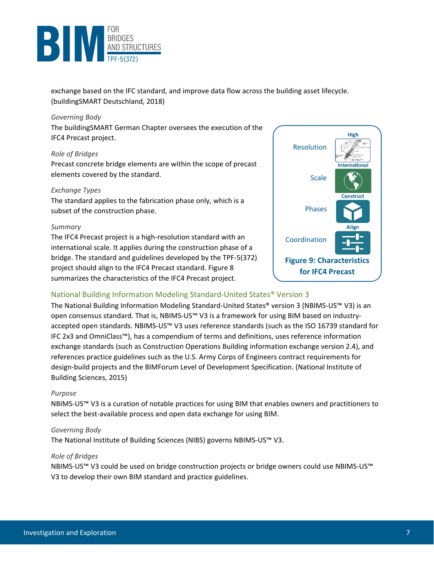

exchange based on the IFC standard, and improve data flow across the building asset lifecycle. (buildingSMART Deutschland, 2018)

#### *Governing Body*

The buildingSMART German Chapter oversees the execution of the IFC4 Precast project.

#### *Role of Bridges*

Precast concrete bridge elements are within the scope of precast elements covered by the standard.

#### *Exchange Types*

The standard applies to the fabrication phase only, which is a subset of the construction phase.

#### *Summary*

The IFC4 Precast project is a high-resolution standard with an international scale. It applies during the construction phase of a bridge. The standard and guidelines developed by the TPF-5(372) project should align to the IFC4 Precast standard. Figure 8 summarizes the characteristics of the IFC4 Precast project.



## <span id="page-10-0"></span>National Building Information Modeling Standard-United States® Version 3

The National Building Information Modeling Standard-United States® version 3 (NBIMS-US™ V3) is an open consensus standard. That is, NBIMS-US™ V3 is a framework for using BIM based on industryaccepted open standards. NBIMS-US™ V3 uses reference standards (such as the ISO 16739 standard for IFC 2x3 and OmniClass™), has a compendium of terms and definitions, uses reference information exchange standards (such as Construction Operations Building information exchange version 2.4), and references practice guidelines such as the U.S. Army Corps of Engineers contract requirements for design-build projects and the BIMForum Level of Development Specification. (National Institute of Building Sciences, 2015)

#### *Purpose*

NBIMS-US™ V3 is a curation of notable practices for using BIM that enables owners and practitioners to select the best-available process and open data exchange for using BIM.

#### *Governing Body*

The National Institute of Building Sciences (NIBS) governs NBIMS-US™ V3.

#### *Role of Bridges*

NBIMS-US™ V3 could be used on bridge construction projects or bridge owners could use NBIMS-US™ V3 to develop their own BIM standard and practice guidelines.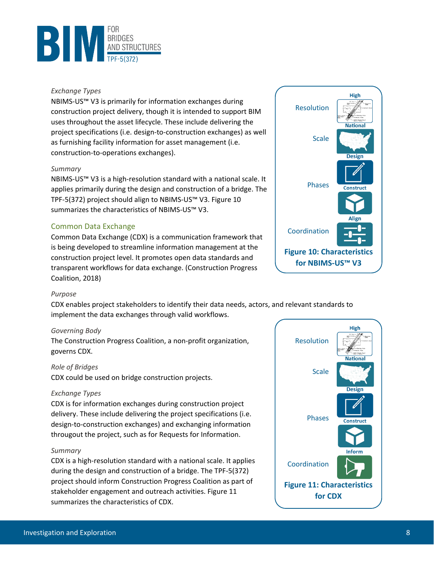

#### *Exchange Types*

NBIMS-US™ V3 is primarily for information exchanges during construction project delivery, though it is intended to support BIM uses throughout the asset lifecycle. These include delivering the project specifications (i.e. design-to-construction exchanges) as well as furnishing facility information for asset management (i.e. construction-to-operations exchanges).

#### *Summary*

NBIMS-US™ V3 is a high-resolution standard with a national scale. It applies primarily during the design and construction of a bridge. The TPF-5(372) project should align to NBIMS-US™ V3[. Figure 10](#page-11-1) summarizes the characteristics of NBIMS-US™ V3.

## <span id="page-11-0"></span>Common Data Exchange

Common Data Exchange (CDX) is a communication framework that is being developed to streamline information management at the construction project level. It promotes open data standards and transparent workflows for data exchange. (Construction Progress Coalition, 2018)



#### *Purpose*

CDX enables project stakeholders to identify their data needs, actors, and relevant standards to implement the data exchanges through valid workflows.

#### *Governing Body*

The Construction Progress Coalition, a non-profit organization, governs CDX.

#### *Role of Bridges*

CDX could be used on bridge construction projects.

#### *Exchange Types*

CDX is for information exchanges during construction project delivery. These include delivering the project specifications (i.e. design-to-construction exchanges) and exchanging information througout the project, such as for Requests for Information.

#### *Summary*

CDX is a high-resolution standard with a national scale. It applies during the design and construction of a bridge. The TPF-5(372) project should inform Construction Progress Coalition as part of stakeholder engagement and outreach activities. [Figure 11](#page-11-2) summarizes the characteristics of CDX.

<span id="page-11-2"></span><span id="page-11-1"></span>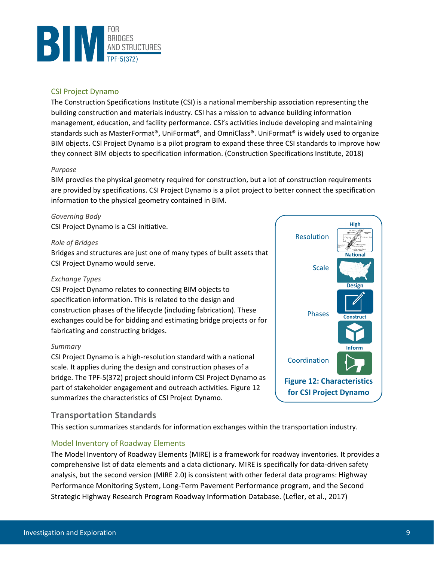

## <span id="page-12-0"></span>CSI Project Dynamo

The Construction Specifications Institute (CSI) is a national membership association representing the building construction and materials industry. CSI has a mission to advance building information management, education, and facility performance. CSI's activities include developing and maintaining standards such as MasterFormat®, UniFormat®, and OmniClass®. UniFormat® is widely used to organize BIM objects. CSI Project Dynamo is a pilot program to expand these three CSI standards to improve how they connect BIM objects to specification information. (Construction Specifications Institute, 2018)

#### *Purpose*

BIM provdies the physical geometry required for construction, but a lot of construction requirements are provided by specifications. CSI Project Dynamo is a pilot project to better connect the specification information to the physical geometry contained in BIM.

#### *Governing Body*

CSI Project Dynamo is a CSI initiative.

#### *Role of Bridges*

Bridges and structures are just one of many types of built assets that CSI Project Dynamo would serve.

#### *Exchange Types*

CSI Project Dynamo relates to connecting BIM objects to specification information. This is related to the design and construction phases of the lifecycle (including fabrication). These exchanges could be for bidding and estimating bridge projects or for fabricating and constructing bridges.

#### *Summary*

CSI Project Dynamo is a high-resolution standard with a national scale. It applies during the design and construction phases of a bridge. The TPF-5(372) project should inform CSI Project Dynamo as part of stakeholder engagement and outreach activities[. Figure 12](#page-12-3) summarizes the characteristics of CSI Project Dynamo.

# <span id="page-12-1"></span>**Transportation Standards**

This section summarizes standards for information exchanges within the transportation industry.

# <span id="page-12-2"></span>Model Inventory of Roadway Elements

The Model Inventory of Roadway Elements (MIRE) is a framework for roadway inventories. It provides a comprehensive list of data elements and a data dictionary. MIRE is specifically for data-driven safety analysis, but the second version (MIRE 2.0) is consistent with other federal data programs: Highway Performance Monitoring System, Long-Term Pavement Performance program, and the Second Strategic Highway Research Program Roadway Information Database. (Lefler, et al., 2017)

<span id="page-12-3"></span>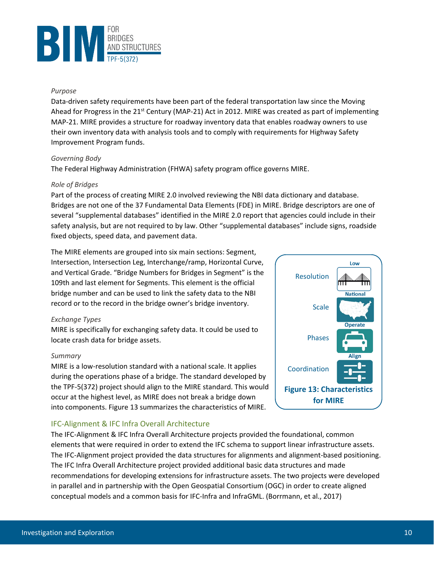

#### *Purpose*

Data-driven safety requirements have been part of the federal transportation law since the Moving Ahead for Progress in the  $21<sup>st</sup>$  Century (MAP-21) Act in 2012. MIRE was created as part of implementing MAP-21. MIRE provides a structure for roadway inventory data that enables roadway owners to use their own inventory data with analysis tools and to comply with requirements for Highway Safety Improvement Program funds.

#### *Governing Body*

The Federal Highway Administration (FHWA) safety program office governs MIRE.

#### *Role of Bridges*

Part of the process of creating MIRE 2.0 involved reviewing the NBI data dictionary and database. Bridges are not one of the 37 Fundamental Data Elements (FDE) in MIRE. Bridge descriptors are one of several "supplemental databases" identified in the MIRE 2.0 report that agencies could include in their safety analysis, but are not required to by law. Other "supplemental databases" include signs, roadside fixed objects, speed data, and pavement data.

The MIRE elements are grouped into six main sections: Segment, Intersection, Intersection Leg, Interchange/ramp, Horizontal Curve, and Vertical Grade. "Bridge Numbers for Bridges in Segment" is the 109th and last element for Segments. This element is the official bridge number and can be used to link the safety data to the NBI record or to the record in the bridge owner's bridge inventory.

#### *Exchange Types*

MIRE is specifically for exchanging safety data. It could be used to locate crash data for bridge assets.

#### *Summary*

MIRE is a low-resolution standard with a national scale. It applies during the operations phase of a bridge. The standard developed by the TPF-5(372) project should align to the MIRE standard. This would occur at the highest level, as MIRE does not break a bridge down into components. [Figure 13](#page-13-1) summarizes the characteristics of MIRE.

# <span id="page-13-0"></span>IFC-Alignment & IFC Infra Overall Architecture

The IFC-Alignment & IFC Infra Overall Architecture projects provided the foundational, common elements that were required in order to extend the IFC schema to support linear infrastructure assets. The IFC-Alignment project provided the data structures for alignments and alignment-based positioning. The IFC Infra Overall Architecture project provided additional basic data structures and made recommendations for developing extensions for infrastructure assets. The two projects were developed in parallel and in partnership with the Open Geospatial Consortium (OGC) in order to create aligned conceptual models and a common basis for IFC-Infra and InfraGML. (Borrmann, et al., 2017)

<span id="page-13-1"></span>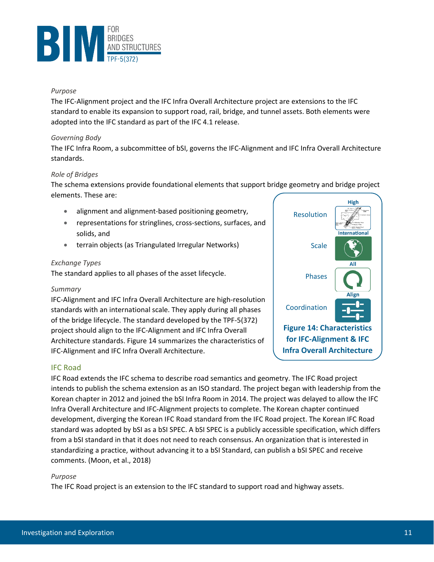

#### *Purpose*

The IFC-Alignment project and the IFC Infra Overall Architecture project are extensions to the IFC standard to enable its expansion to support road, rail, bridge, and tunnel assets. Both elements were adopted into the IFC standard as part of the IFC 4.1 release.

#### *Governing Body*

The IFC Infra Room, a subcommittee of bSI, governs the IFC-Alignment and IFC Infra Overall Architecture standards.

#### *Role of Bridges*

The schema extensions provide foundational elements that support bridge geometry and bridge project elements. These are:

- alignment and alignment-based positioning geometry,
- representations for stringlines, cross-sections, surfaces, and solids, and
- terrain objects (as Triangulated Irregular Networks)

#### *Exchange Types*

The standard applies to all phases of the asset lifecycle.

#### *Summary*

IFC-Alignment and IFC Infra Overall Architecture are high-resolution standards with an international scale. They apply during all phases of the bridge lifecycle. The standard developed by the TPF-5(372) project should align to the IFC-Alignment and IFC Infra Overall Architecture standards. [Figure 14](#page-14-1) summarizes the characteristics of IFC-Alignment and IFC Infra Overall Architecture.

<span id="page-14-1"></span>

#### <span id="page-14-0"></span>IFC Road

IFC Road extends the IFC schema to describe road semantics and geometry. The IFC Road project intends to publish the schema extension as an ISO standard. The project began with leadership from the Korean chapter in 2012 and joined the bSI Infra Room in 2014. The project was delayed to allow the IFC Infra Overall Architecture and IFC-Alignment projects to complete. The Korean chapter continued development, diverging the Korean IFC Road standard from the IFC Road project. The Korean IFC Road standard was adopted by bSI as a bSI SPEC. A bSI SPEC is a publicly accessible specification, which differs from a bSI standard in that it does not need to reach consensus. An organization that is interested in standardizing a practice, without advancing it to a bSI Standard, can publish a bSI SPEC and receive comments. (Moon, et al., 2018)

#### *Purpose*

The IFC Road project is an extension to the IFC standard to support road and highway assets.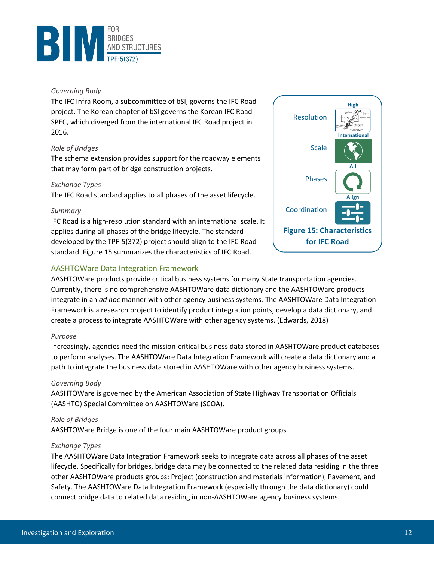

#### *Governing Body*

The IFC Infra Room, a subcommittee of bSI, governs the IFC Road project. The Korean chapter of bSI governs the Korean IFC Road SPEC, which diverged from the international IFC Road project in 2016.

#### *Role of Bridges*

The schema extension provides support for the roadway elements that may form part of bridge construction projects.

#### *Exchange Types*

The IFC Road standard applies to all phases of the asset lifecycle.

#### *Summary*

IFC Road is a high-resolution standard with an international scale. It applies during all phases of the bridge lifecycle. The standard developed by the TPF-5(372) project should align to the IFC Road standard. [Figure 15](#page-15-1) summarizes the characteristics of IFC Road.

## <span id="page-15-0"></span>AASHTOWare Data Integration Framework

<span id="page-15-1"></span>

AASHTOWare products provide critical business systems for many State transportation agencies. Currently, there is no comprehensive AASHTOWare data dictionary and the AASHTOWare products integrate in an *ad hoc* manner with other agency business systems*.* The AASHTOWare Data Integration Framework is a research project to identify product integration points, develop a data dictionary, and create a process to integrate AASHTOWare with other agency systems. (Edwards, 2018)

#### *Purpose*

Increasingly, agencies need the mission-critical business data stored in AASHTOWare product databases to perform analyses. The AASHTOWare Data Integration Framework will create a data dictionary and a path to integrate the business data stored in AASHTOWare with other agency business systems.

#### *Governing Body*

AASHTOWare is governed by the American Association of State Highway Transportation Officials (AASHTO) Special Committee on AASHTOWare (SCOA).

#### *Role of Bridges*

AASHTOWare Bridge is one of the four main AASHTOWare product groups.

#### *Exchange Types*

The AASHTOWare Data Integration Framework seeks to integrate data across all phases of the asset lifecycle. Specifically for bridges, bridge data may be connected to the related data residing in the three other AASHTOWare products groups: Project (construction and materials information), Pavement, and Safety. The AASHTOWare Data Integration Framework (especially through the data dictionary) could connect bridge data to related data residing in non-AASHTOWare agency business systems.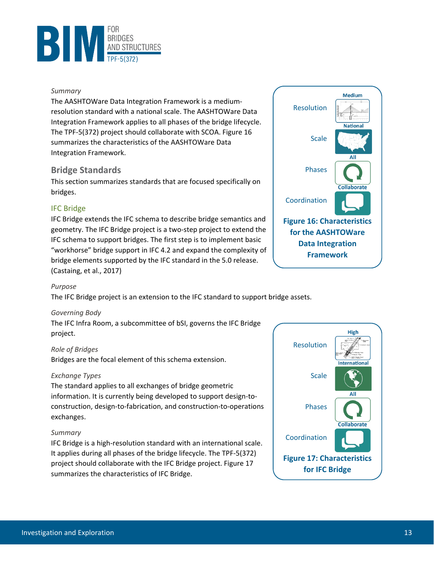

#### *Summary*

The AASHTOWare Data Integration Framework is a mediumresolution standard with a national scale. The AASHTOWare Data Integration Framework applies to all phases of the bridge lifecycle. The TPF-5(372) project should collaborate with SCOA. [Figure 16](#page-16-2) summarizes the characteristics of the AASHTOWare Data Integration Framework.

# <span id="page-16-0"></span>**Bridge Standards**

This section summarizes standards that are focused specifically on bridges.

## <span id="page-16-1"></span>IFC Bridge

IFC Bridge extends the IFC schema to describe bridge semantics and geometry. The IFC Bridge project is a two-step project to extend the IFC schema to support bridges. The first step is to implement basic "workhorse" bridge support in IFC 4.2 and expand the complexity of bridge elements supported by the IFC standard in the 5.0 release. (Castaing, et al., 2017)



#### *Purpose*

The IFC Bridge project is an extension to the IFC standard to support bridge assets.

#### *Governing Body*

The IFC Infra Room, a subcommittee of bSI, governs the IFC Bridge project.

#### *Role of Bridges*

Bridges are the focal element of this schema extension.

#### *Exchange Types*

The standard applies to all exchanges of bridge geometric information. It is currently being developed to support design-toconstruction, design-to-fabrication, and construction-to-operations exchanges.

#### *Summary*

IFC Bridge is a high-resolution standard with an international scale. It applies during all phases of the bridge lifecycle. The TPF-5(372) project should collaborate with the IFC Bridge project. [Figure 17](#page-16-3) summarizes the characteristics of IFC Bridge.

<span id="page-16-3"></span><span id="page-16-2"></span>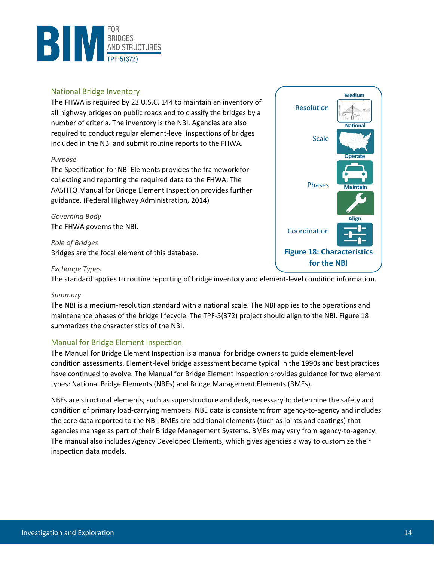

#### <span id="page-17-0"></span>National Bridge Inventory

The FHWA is required by 23 U.S.C. 144 to maintain an inventory of all highway bridges on public roads and to classify the bridges by a number of criteria. The inventory is the NBI. Agencies are also required to conduct regular element-level inspections of bridges included in the NBI and submit routine reports to the FHWA.

#### *Purpose*

The Specification for NBI Elements provides the framework for collecting and reporting the required data to the FHWA. The AASHTO Manual for Bridge Element Inspection provides further guidance. (Federal Highway Administration, 2014)

*Governing Body* The FHWA governs the NBI.

*Role of Bridges* Bridges are the focal element of this database.

#### *Exchange Types*

The standard applies to routine reporting of bridge inventory and element-level condition information.

#### *Summary*

The NBI is a medium-resolution standard with a national scale. The NBI applies to the operations and maintenance phases of the bridge lifecycle. The TPF-5(372) project should align to the NBI. [Figure 18](#page-17-2) summarizes the characteristics of the NBI.

#### <span id="page-17-1"></span>Manual for Bridge Element Inspection

The Manual for Bridge Element Inspection is a manual for bridge owners to guide element-level condition assessments. Element-level bridge assessment became typical in the 1990s and best practices have continued to evolve. The Manual for Bridge Element Inspection provides guidance for two element types: National Bridge Elements (NBEs) and Bridge Management Elements (BMEs).

NBEs are structural elements, such as superstructure and deck, necessary to determine the safety and condition of primary load-carrying members. NBE data is consistent from agency-to-agency and includes the core data reported to the NBI. BMEs are additional elements (such as joints and coatings) that agencies manage as part of their Bridge Management Systems. BMEs may vary from agency-to-agency. The manual also includes Agency Developed Elements, which gives agencies a way to customize their inspection data models.

<span id="page-17-2"></span>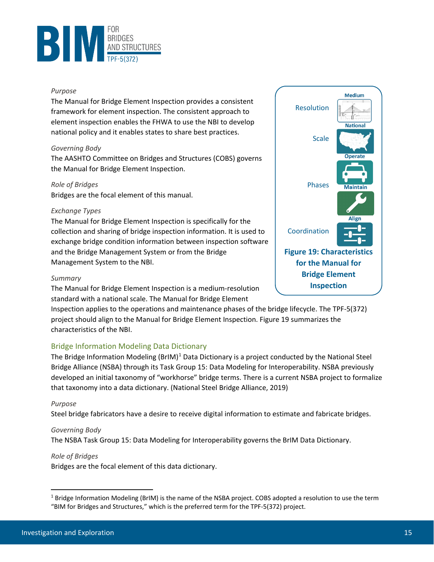

#### *Purpose*

The Manual for Bridge Element Inspection provides a consistent framework for element inspection. The consistent approach to element inspection enables the FHWA to use the NBI to develop national policy and it enables states to share best practices.

#### *Governing Body*

The AASHTO Committee on Bridges and Structures (COBS) governs the Manual for Bridge Element Inspection.

#### *Role of Bridges*

Bridges are the focal element of this manual.

#### *Exchange Types*

The Manual for Bridge Element Inspection is specifically for the collection and sharing of bridge inspection information. It is used to exchange bridge condition information between inspection software and the Bridge Management System or from the Bridge Management System to the NBI.

#### *Summary*

The Manual for Bridge Element Inspection is a medium-resolution standard with a national scale. The Manual for Bridge Element

Inspection applies to the operations and maintenance phases of the bridge lifecycle. The TPF-5(372) project should align to the Manual for Bridge Element Inspection[. Figure 19](#page-18-1) summarizes the characteristics of the NBI.

#### <span id="page-18-0"></span>Bridge Information Modeling Data Dictionary

The Bridge Information Modeling  $(BrIM)^1$  $(BrIM)^1$  Data Dictionary is a project conducted by the National Steel Bridge Alliance (NSBA) through its Task Group 15: Data Modeling for Interoperability. NSBA previously developed an initial taxonomy of "workhorse" bridge terms. There is a current NSBA project to formalize that taxonomy into a data dictionary. (National Steel Bridge Alliance, 2019)

#### *Purpose*

Steel bridge fabricators have a desire to receive digital information to estimate and fabricate bridges.

#### *Governing Body*

The NSBA Task Group 15: Data Modeling for Interoperability governs the BrIM Data Dictionary.

#### *Role of Bridges*

Bridges are the focal element of this data dictionary.

<span id="page-18-1"></span>

<span id="page-18-2"></span><sup>&</sup>lt;sup>1</sup> Bridge Information Modeling (BrIM) is the name of the NSBA project. COBS adopted a resolution to use the term "BIM for Bridges and Structures," which is the preferred term for the TPF-5(372) project.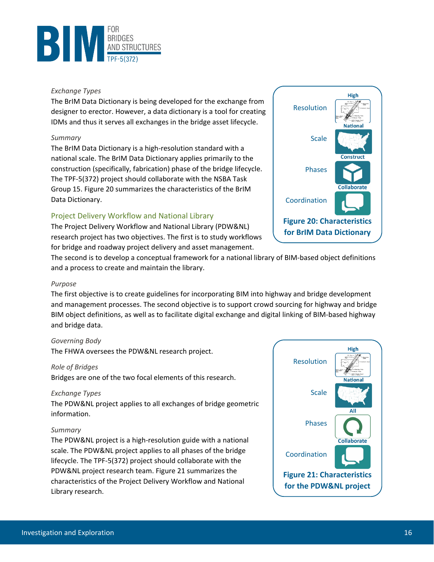

#### *Exchange Types*

The BrIM Data Dictionary is being developed for the exchange from designer to erector. However, a data dictionary is a tool for creating IDMs and thus it serves all exchanges in the bridge asset lifecycle.

#### *Summary*

The BrIM Data Dictionary is a high-resolution standard with a national scale. The BrIM Data Dictionary applies primarily to the construction (specifically, fabrication) phase of the bridge lifecycle. The TPF-5(372) project should collaborate with the NSBA Task Group 15. [Figure 20](#page-19-1) summarizes the characteristics of the BrIM Data Dictionary.

# <span id="page-19-0"></span>Project Delivery Workflow and National Library

The Project Delivery Workflow and National Library (PDW&NL) research project has two objectives. The first is to study workflows for bridge and roadway project delivery and asset management.



The second is to develop a conceptual framework for a national library of BIM-based object definitions and a process to create and maintain the library.

#### *Purpose*

The first objective is to create guidelines for incorporating BIM into highway and bridge development and management processes. The second objective is to support crowd sourcing for highway and bridge BIM object definitions, as well as to facilitate digital exchange and digital linking of BIM-based highway and bridge data.

#### *Governing Body*

The FHWA oversees the PDW&NL research project.

#### *Role of Bridges*

Bridges are one of the two focal elements of this research.

#### *Exchange Types*

The PDW&NL project applies to all exchanges of bridge geometric information.

#### *Summary*

The PDW&NL project is a high-resolution guide with a national scale. The PDW&NL project applies to all phases of the bridge lifecycle. The TPF-5(372) project should collaborate with the PDW&NL project research team. [Figure 21](#page-19-2) summarizes the characteristics of the Project Delivery Workflow and National Library research.

<span id="page-19-2"></span><span id="page-19-1"></span>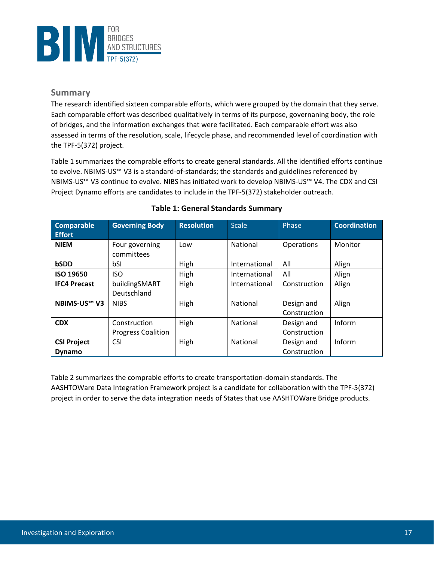

# <span id="page-20-0"></span>**Summary**

The research identified sixteen comparable efforts, which were grouped by the domain that they serve. Each comparable effort was described qualitatively in terms of its purpose, governaning body, the role of bridges, and the information exchanges that were facilitated. Each comparable effort was also assessed in terms of the resolution, scale, lifecycle phase, and recommended level of coordination with the TPF-5(372) project.

[Table 1](#page-20-1) summarizes the comprable efforts to create general standards. All the identified efforts continue to evolve. NBIMS-US™ V3 is a standard-of-standards; the standards and guidelines referenced by NBIMS-US™ V3 continue to evolve. NIBS has initiated work to develop NBIMS-US™ V4. The CDX and CSI Project Dynamo efforts are candidates to include in the TPF-5(372) stakeholder outreach.

<span id="page-20-1"></span>

| <b>Comparable</b><br><b>Effort</b> | <b>Governing Body</b>        | <b>Resolution</b> | <b>Scale</b>  | Phase             | <b>Coordination</b> |
|------------------------------------|------------------------------|-------------------|---------------|-------------------|---------------------|
| <b>NIEM</b>                        | Four governing<br>committees | Low               | National      | <b>Operations</b> | Monitor             |
| bSDD                               | bSI                          | High              | International | All               | Align               |
| <b>ISO 19650</b>                   | <b>ISO</b>                   | High              | International | All               | Align               |
| <b>IFC4 Precast</b>                | buildingSMART                | High              | International | Construction      | Align               |
|                                    | Deutschland                  |                   |               |                   |                     |
| <b>NBIMS-US™ V3</b>                | <b>NIBS</b>                  | High              | National      | Design and        | Align               |
|                                    |                              |                   |               | Construction      |                     |
| <b>CDX</b>                         | Construction                 | High              | National      | Design and        | Inform              |
|                                    | <b>Progress Coalition</b>    |                   |               | Construction      |                     |
| <b>CSI Project</b>                 | <b>CSI</b>                   | High              | National      | Design and        | Inform              |
| <b>Dynamo</b>                      |                              |                   |               | Construction      |                     |

# **Table 1: General Standards Summary**

<span id="page-20-2"></span>[Table 2](#page-20-2) summarizes the comprable efforts to create transportation-domain standards. The AASHTOWare Data Integration Framework project is a candidate for collaboration with the TPF-5(372) project in order to serve the data integration needs of States that use AASHTOWare Bridge products.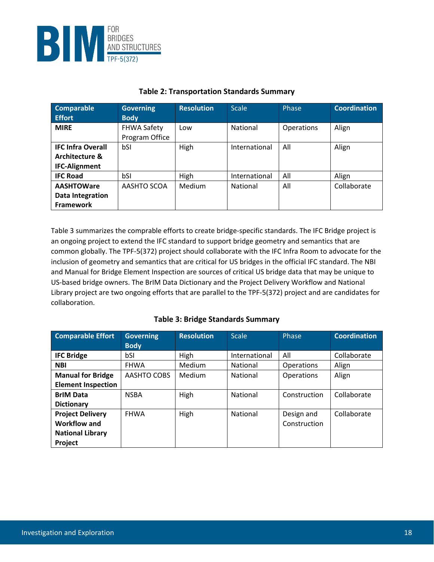

| <b>Comparable</b><br><b>Effort</b>                                            | <b>Governing</b><br><b>Body</b>      | <b>Resolution</b> | <b>Scale</b>    | Phase             | <b>Coordination</b> |
|-------------------------------------------------------------------------------|--------------------------------------|-------------------|-----------------|-------------------|---------------------|
| <b>MIRE</b>                                                                   | <b>FHWA Safety</b><br>Program Office | Low               | National        | <b>Operations</b> | Align               |
| <b>IFC Infra Overall</b><br><b>Architecture &amp;</b><br><b>IFC-Alignment</b> | bSI                                  | High              | International   | All               | Align               |
| <b>IFC Road</b>                                                               | bSI                                  | High              | International   | All               | Align               |
| <b>AASHTOWare</b><br>Data Integration<br>Framework                            | AASHTO SCOA                          | <b>Medium</b>     | <b>National</b> | All               | Collaborate         |

# **Table 2: Transportation Standards Summary**

[Table 3](#page-21-0) summarizes the comprable efforts to create bridge-specific standards. The IFC Bridge project is an ongoing project to extend the IFC standard to support bridge geometry and semantics that are common globally. The TPF-5(372) project should collaborate with the IFC Infra Room to advocate for the inclusion of geometry and semantics that are critical for US bridges in the official IFC standard. The NBI and Manual for Bridge Element Inspection are sources of critical US bridge data that may be unique to US-based bridge owners. The BrIM Data Dictionary and the Project Delivery Workflow and National Library project are two ongoing efforts that are parallel to the TPF-5(372) project and are candidates for collaboration.

#### **Table 3: Bridge Standards Summary**

<span id="page-21-0"></span>

| <b>Comparable Effort</b>  | <b>Governing</b> | <b>Resolution</b> | <b>Scale</b>    | Phase             | <b>Coordination</b> |
|---------------------------|------------------|-------------------|-----------------|-------------------|---------------------|
|                           | <b>Body</b>      |                   |                 |                   |                     |
| <b>IFC Bridge</b>         | bSI              | High              | International   | All               | Collaborate         |
| <b>NBI</b>                | <b>FHWA</b>      | Medium            | <b>National</b> | <b>Operations</b> | Align               |
| <b>Manual for Bridge</b>  | AASHTO COBS      | Medium            | National        | <b>Operations</b> | Align               |
| <b>Element Inspection</b> |                  |                   |                 |                   |                     |
| <b>BrIM Data</b>          | <b>NSBA</b>      | High              | <b>National</b> | Construction      | Collaborate         |
| <b>Dictionary</b>         |                  |                   |                 |                   |                     |
| <b>Project Delivery</b>   | <b>FHWA</b>      | High              | National        | Design and        | Collaborate         |
| Workflow and              |                  |                   |                 | Construction      |                     |
| <b>National Library</b>   |                  |                   |                 |                   |                     |
| Project                   |                  |                   |                 |                   |                     |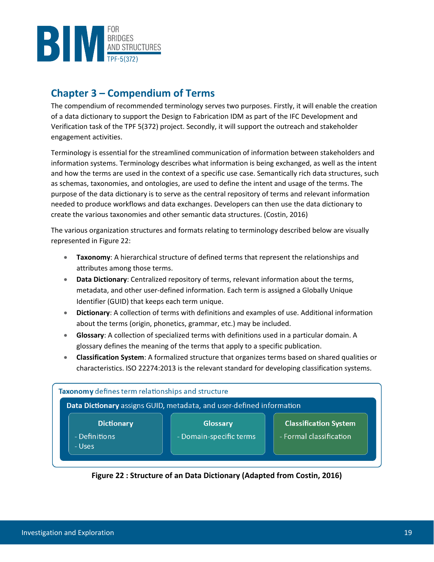

# <span id="page-22-0"></span>**Chapter 3 – Compendium of Terms**

The compendium of recommended terminology serves two purposes. Firstly, it will enable the creation of a data dictionary to support the Design to Fabrication IDM as part of the IFC Development and Verification task of the TPF 5(372) project. Secondly, it will support the outreach and stakeholder engagement activities.

Terminology is essential for the streamlined communication of information between stakeholders and information systems. Terminology describes what information is being exchanged, as well as the intent and how the terms are used in the context of a specific use case. Semantically rich data structures, such as schemas, taxonomies, and ontologies, are used to define the intent and usage of the terms. The purpose of the data dictionary is to serve as the central repository of terms and relevant information needed to produce workflows and data exchanges. Developers can then use the data dictionary to create the various taxonomies and other semantic data structures. (Costin, 2016)

The various organization structures and formats relating to terminology described below are visually represented in [Figure 22:](#page-22-1)

- **Taxonomy**: A hierarchical structure of defined terms that represent the relationships and attributes among those terms.
- **Data Dictionary**: Centralized repository of terms, relevant information about the terms, metadata, and other user-defined information. Each term is assigned a Globally Unique Identifier (GUID) that keeps each term unique.
- **Dictionary**: A collection of terms with definitions and examples of use. Additional information about the terms (origin, phonetics, grammar, etc.) may be included.
- **Glossary**: A collection of specialized terms with definitions used in a particular domain. A glossary defines the meaning of the terms that apply to a specific publication.
- **Classification System**: A formalized structure that organizes terms based on shared qualities or characteristics. ISO 22274:2013 is the relevant standard for developing classification systems.



<span id="page-22-1"></span>**Figure 22 : Structure of an Data Dictionary (Adapted from Costin, 2016)**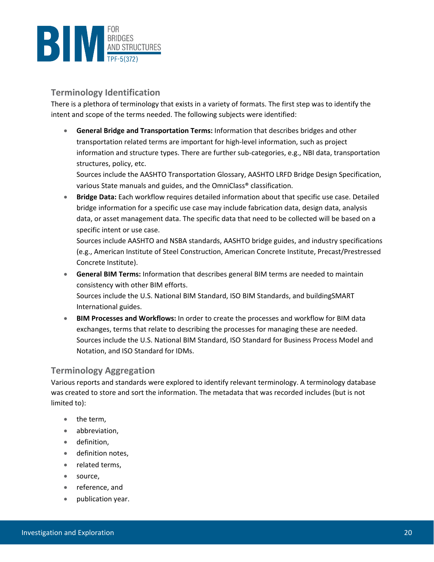

# <span id="page-23-0"></span>**Terminology Identification**

There is a plethora of terminology that exists in a variety of formats. The first step was to identify the intent and scope of the terms needed. The following subjects were identified:

• **General Bridge and Transportation Terms:** Information that describes bridges and other transportation related terms are important for high-level information, such as project information and structure types. There are further sub-categories, e.g., NBI data, transportation structures, policy, etc.

Sources include the AASHTO Transportation Glossary, AASHTO LRFD Bridge Design Specification, various State manuals and guides, and the OmniClass® classification.

• **Bridge Data:** Each workflow requires detailed information about that specific use case. Detailed bridge information for a specific use case may include fabrication data, design data, analysis data, or asset management data. The specific data that need to be collected will be based on a specific intent or use case.

Sources include AASHTO and NSBA standards, AASHTO bridge guides, and industry specifications (e.g., American Institute of Steel Construction, American Concrete Institute, Precast/Prestressed Concrete Institute).

• **General BIM Terms:** Information that describes general BIM terms are needed to maintain consistency with other BIM efforts.

Sources include the U.S. National BIM Standard, ISO BIM Standards, and buildingSMART International guides.

• **BIM Processes and Workflows:** In order to create the processes and workflow for BIM data exchanges, terms that relate to describing the processes for managing these are needed. Sources include the U.S. National BIM Standard, ISO Standard for Business Process Model and Notation, and ISO Standard for IDMs.

# <span id="page-23-1"></span>**Terminology Aggregation**

Various reports and standards were explored to identify relevant terminology. A terminology database was created to store and sort the information. The metadata that was recorded includes (but is not limited to):

- the term,
- abbreviation,
- definition,
- definition notes,
- related terms,
- source,
- reference, and
- publication year.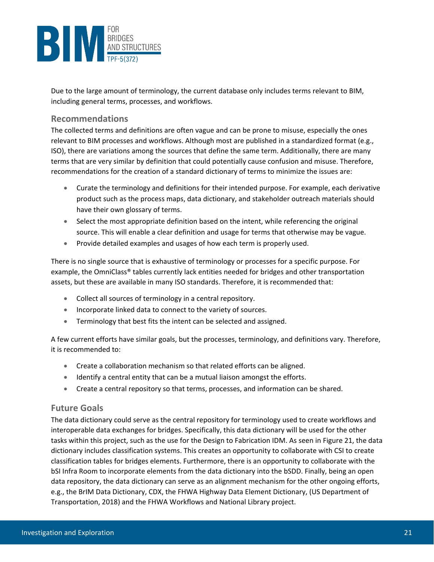

Due to the large amount of terminology, the current database only includes terms relevant to BIM, including general terms, processes, and workflows.

# <span id="page-24-0"></span>**Recommendations**

The collected terms and definitions are often vague and can be prone to misuse, especially the ones relevant to BIM processes and workflows. Although most are published in a standardized format (e.g., ISO), there are variations among the sources that define the same term. Additionally, there are many terms that are very similar by definition that could potentially cause confusion and misuse. Therefore, recommendations for the creation of a standard dictionary of terms to minimize the issues are:

- Curate the terminology and definitions for their intended purpose. For example, each derivative product such as the process maps, data dictionary, and stakeholder outreach materials should have their own glossary of terms.
- Select the most appropriate definition based on the intent, while referencing the original source. This will enable a clear definition and usage for terms that otherwise may be vague.
- Provide detailed examples and usages of how each term is properly used.

There is no single source that is exhaustive of terminology or processes for a specific purpose. For example, the OmniClass® tables currently lack entities needed for bridges and other transportation assets, but these are available in many ISO standards. Therefore, it is recommended that:

- Collect all sources of terminology in a central repository.
- Incorporate linked data to connect to the variety of sources.
- Terminology that best fits the intent can be selected and assigned.

A few current efforts have similar goals, but the processes, terminology, and definitions vary. Therefore, it is recommended to:

- Create a collaboration mechanism so that related efforts can be aligned.
- Identify a central entity that can be a mutual liaison amongst the efforts.
- Create a central repository so that terms, processes, and information can be shared.

# <span id="page-24-1"></span>**Future Goals**

The data dictionary could serve as the central repository for terminology used to create workflows and interoperable data exchanges for bridges. Specifically, this data dictionary will be used for the other tasks within this project, such as the use for the Design to Fabrication IDM. As seen in [Figure 21,](#page-22-1) the data dictionary includes classification systems. This creates an opportunity to collaborate with CSI to create classification tables for bridges elements. Furthermore, there is an opportunity to collaborate with the bSI Infra Room to incorporate elements from the data dictionary into the bSDD. Finally, being an open data repository, the data dictionary can serve as an alignment mechanism for the other ongoing efforts, e.g., the BrIM Data Dictionary, CDX, the FHWA Highway Data Element Dictionary, (US Department of Transportation, 2018) and the FHWA Workflows and National Library project.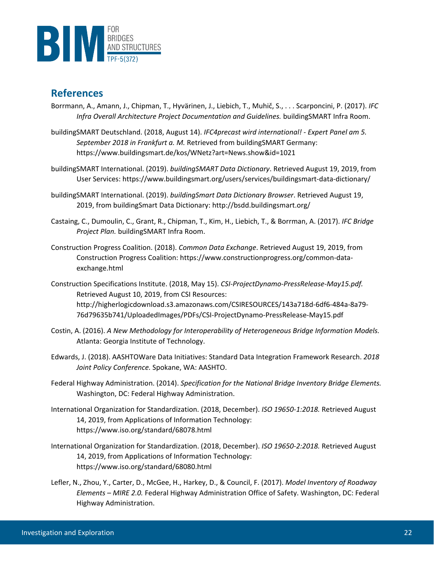

# <span id="page-25-0"></span>**References**

- Borrmann, A., Amann, J., Chipman, T., Hyvärinen, J., Liebich, T., Muhič, S., . . . Scarponcini, P. (2017). *IFC Infra Overall Architecture Project Documentation and Guidelines.* buildingSMART Infra Room.
- buildingSMART Deutschland. (2018, August 14). *IFC4precast wird international! - Expert Panel am 5. September 2018 in Frankfurt a. M.* Retrieved from buildingSMART Germany: https://www.buildingsmart.de/kos/WNetz?art=News.show&id=1021
- buildingSMART International. (2019). *buildingSMART Data Dictionary*. Retrieved August 19, 2019, from User Services: https://www.buildingsmart.org/users/services/buildingsmart-data-dictionary/
- buildingSMART International. (2019). *buildingSmart Data Dictionary Browser*. Retrieved August 19, 2019, from buildingSmart Data Dictionary: http://bsdd.buildingsmart.org/
- Castaing, C., Dumoulin, C., Grant, R., Chipman, T., Kim, H., Liebich, T., & Borrman, A. (2017). *IFC Bridge Project Plan.* buildingSMART Infra Room.
- Construction Progress Coalition. (2018). *Common Data Exchange*. Retrieved August 19, 2019, from Construction Progress Coalition: https://www.constructionprogress.org/common-dataexchange.html
- Construction Specifications Institute. (2018, May 15). *CSI-ProjectDynamo-PressRelease-May15.pdf.* Retrieved August 10, 2019, from CSI Resources: http://higherlogicdownload.s3.amazonaws.com/CSIRESOURCES/143a718d-6df6-484a-8a79- 76d79635b741/UploadedImages/PDFs/CSI-ProjectDynamo-PressRelease-May15.pdf
- Costin, A. (2016). *A New Methodology for Interoperability of Heterogeneous Bridge Information Models.* Atlanta: Georgia Institute of Technology.
- Edwards, J. (2018). AASHTOWare Data Initiatives: Standard Data Integration Framework Research. *2018 Joint Policy Conference.* Spokane, WA: AASHTO.
- Federal Highway Administration. (2014). *Specification for the National Bridge Inventory Bridge Elements.* Washington, DC: Federal Highway Administration.
- International Organization for Standardization. (2018, December). *ISO 19650-1:2018.* Retrieved August 14, 2019, from Applications of Information Technology: https://www.iso.org/standard/68078.html
- International Organization for Standardization. (2018, December). *ISO 19650-2:2018.* Retrieved August 14, 2019, from Applications of Information Technology: https://www.iso.org/standard/68080.html
- Lefler, N., Zhou, Y., Carter, D., McGee, H., Harkey, D., & Council, F. (2017). *Model Inventory of Roadway Elements – MIRE 2.0.* Federal Highway Administration Office of Safety. Washington, DC: Federal Highway Administration.